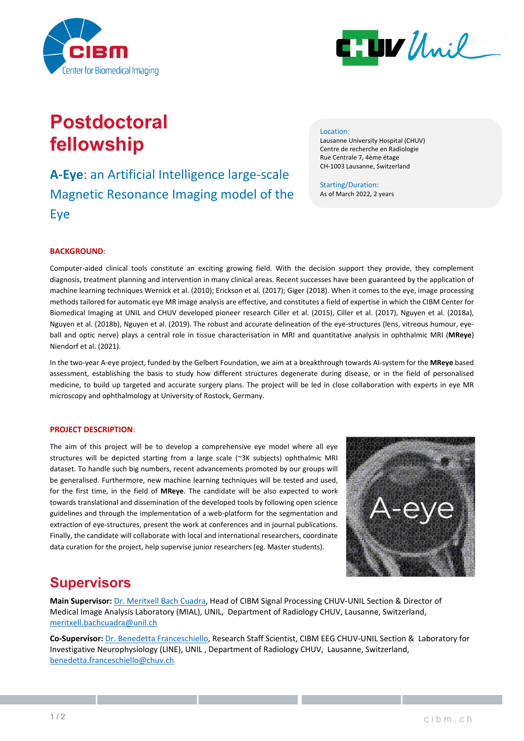



# **Postdoctoral fellowship**

## **A-Eye**: an Artificial Intelligence large-scale Magnetic Resonance Imaging model of the Eye

#### Location:

Lausanne University Hospital (CHUV) Centre de recherche en Radiologie Rue Centrale 7, 4ème étage CH-1003 Lausanne, Switzerland

Starting/Duration: As of March 2022, 2 years

#### **BACKGROUND**:

Computer-aided clinical tools constitute an exciting growing field. With the decision support they provide, they complement diagnosis, treatment planning and intervention in many clinical areas. Recent successes have been guaranteed by the application of machine learning techniques Wernick et al. (2010); Erickson et al. (2017); Giger (2018). When it comes to the eye, image processing methods tailored for automatic eye MR image analysis are effective, and constitutes a field of expertise in which the CIBM Center for Biomedical Imaging at UNIL and CHUV developed pioneer research Ciller et al. (2015), Ciller et al. (2017), Nguyen et al. (2018a), Nguyen et al. (2018b), Nguyen et al. (2019). The robust and accurate delineation of the eye-structures (lens, vitreous humour, eyeball and optic nerve) plays a central role in tissue characterisation in MRI and quantitative analysis in ophthalmic MRI (**MReye**) Niendorf et al. (2021).

In the two-year A-eye project, funded by the Gelbert Foundation, we aim at a breakthrough towards AI-system for the **MReye** based assessment, establishing the basis to study how different structures degenerate during disease, or in the field of personalised medicine, to build up targeted and accurate surgery plans. The project will be led in close collaboration with experts in eye MR microscopy and ophthalmology at University of Rostock, Germany.

#### **PROJECT DESCRIPTION**:

The aim of this project will be to develop a comprehensive eye model where all eye structures will be depicted starting from a large scale (~3K subjects) ophthalmic MRI dataset. To handle such big numbers, recent advancements promoted by our groups will be generalised. Furthermore, new machine learning techniques will be tested and used, for the first time, in the field of **MReye**. The candidate will be also expected to work towards translational and dissemination of the developed tools by following open science guidelines and through the implementation of a web-platform for the segmentation and extraction of eye-structures, present the work at conferences and in journal publications. Finally, the candidate will collaborate with local and international researchers, coordinate data curation for the project, help supervise junior researchers (eg. Master students).



### **Supervisors**

**Main Supervisor:** [Dr. Meritxell Bach Cuadra,](https://wp.unil.ch/mial/team/meritxell-bach-cuadra/) Head of CIBM Signal Processing CHUV-UNIL Section & Director of Medical Image Analysis Laboratory (MIAL), UNIL, Department of Radiology CHUV, Lausanne, Switzerland, [meritxell.bachcuadra@unil.ch](mailto:meritxell.bachcuadra@unil.ch)

**Co-Supervisor:** Dr. [Benedetta Franceschiello,](https://cibm.ch/people/) Research Staff Scientist, CIBM EEG CHUV-UNIL Section & Laboratory for Investigative Neurophysiology (LINE), UNIL , Department of Radiology CHUV, Lausanne, Switzerland, [benedetta.franceschiello@chuv.ch](mailto:benedetta.franceschiello@chuv.ch)